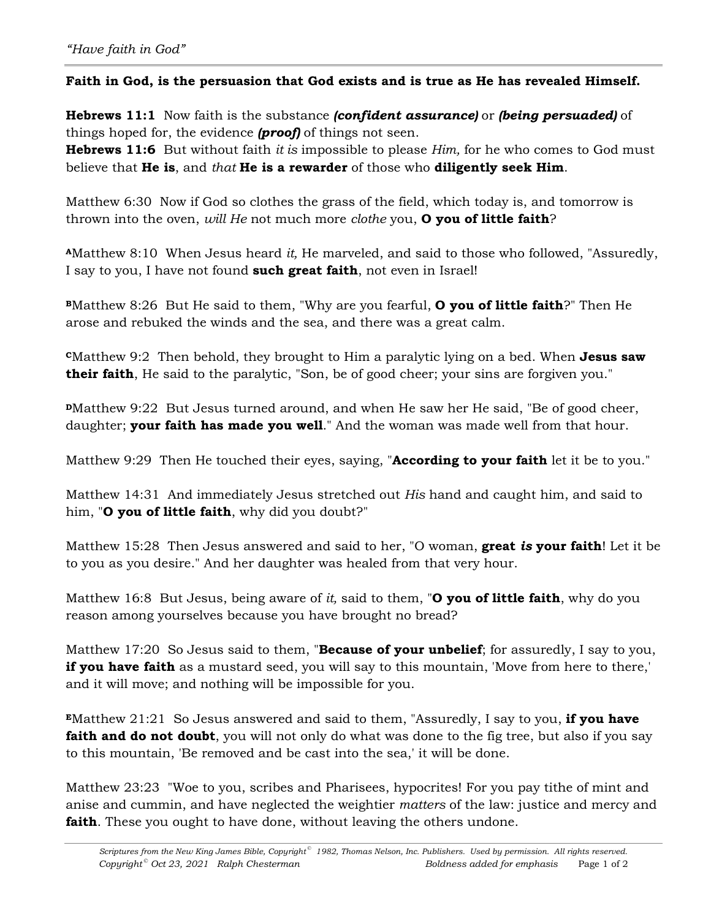## **Faith in God, is the persuasion that God exists and is true as He has revealed Himself.**

**Hebrews 11:1** Now faith is the substance *(confident assurance)* or *(being persuaded)* of things hoped for, the evidence *(proof)* of things not seen.

**Hebrews 11:6** But without faith *it is* impossible to please *Him,* for he who comes to God must believe that **He is**, and *that* **He is a rewarder** of those who **diligently seek Him**.

Matthew 6:30 Now if God so clothes the grass of the field, which today is, and tomorrow is thrown into the oven, *will He* not much more *clothe* you, **O you of little faith**?

**<sup>A</sup>**Matthew 8:10 When Jesus heard *it,* He marveled, and said to those who followed, "Assuredly, I say to you, I have not found **such great faith**, not even in Israel!

**<sup>B</sup>**Matthew 8:26 But He said to them, "Why are you fearful, **O you of little faith**?" Then He arose and rebuked the winds and the sea, and there was a great calm.

**<sup>C</sup>**Matthew 9:2 Then behold, they brought to Him a paralytic lying on a bed. When **Jesus saw their faith**, He said to the paralytic, "Son, be of good cheer; your sins are forgiven you."

**PMatthew 9:22 But Jesus turned around, and when He saw her He said, "Be of good cheer,** daughter; **your faith has made you well**." And the woman was made well from that hour.

Matthew 9:29 Then He touched their eyes, saying, "**According to your faith** let it be to you."

Matthew 14:31 And immediately Jesus stretched out *His* hand and caught him, and said to him, "**O you of little faith**, why did you doubt?"

Matthew 15:28 Then Jesus answered and said to her, "O woman, **great** *is* **your faith**! Let it be to you as you desire." And her daughter was healed from that very hour.

Matthew 16:8 But Jesus, being aware of *it,* said to them, "**O you of little faith**, why do you reason among yourselves because you have brought no bread?

Matthew 17:20 So Jesus said to them, "**Because of your unbelief**; for assuredly, I say to you, **if you have faith** as a mustard seed, you will say to this mountain, 'Move from here to there,' and it will move; and nothing will be impossible for you.

**<sup>E</sup>**Matthew 21:21 So Jesus answered and said to them, "Assuredly, I say to you, **if you have faith and do not doubt**, you will not only do what was done to the fig tree, but also if you say to this mountain, 'Be removed and be cast into the sea,' it will be done.

Matthew 23:23 "Woe to you, scribes and Pharisees, hypocrites! For you pay tithe of mint and anise and cummin, and have neglected the weightier *matters* of the law: justice and mercy and **faith**. These you ought to have done, without leaving the others undone.